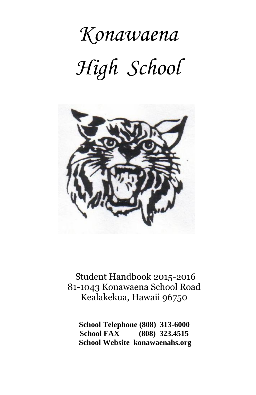# *Konawaena High School*



 Student Handbook 2015-2016 81-1043 Konawaena School Road Kealakekua, Hawaii 96750

 **School Telephone (808) 313-6000 School FAX (808) 323.4515 School Website konawaenahs.org**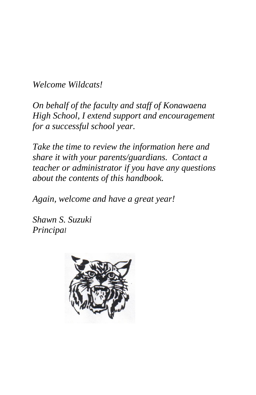*Welcome Wildcats!*

*On behalf of the faculty and staff of Konawaena High School, I extend support and encouragement for a successful school year.*

*Take the time to review the information here and share it with your parents/guardians. Contact a teacher or administrator if you have any questions about the contents of this handbook.*

*Again, welcome and have a great year!*

*Shawn S. Suzuki Principal* 

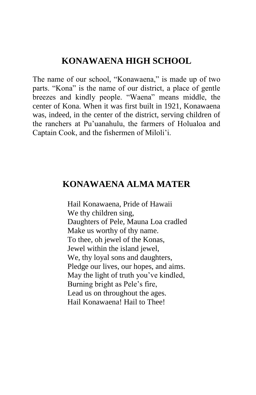#### **KONAWAENA HIGH SCHOOL**

The name of our school, "Konawaena," is made up of two parts. "Kona" is the name of our district, a place of gentle breezes and kindly people. "Waena" means middle, the center of Kona. When it was first built in 1921, Konawaena was, indeed, in the center of the district, serving children of the ranchers at Pu'uanahulu, the farmers of Holualoa and Captain Cook, and the fishermen of Miloli'i.

### **KONAWAENA ALMA MATER**

 Hail Konawaena, Pride of Hawaii We thy children sing, Daughters of Pele, Mauna Loa cradled Make us worthy of thy name. To thee, oh jewel of the Konas, Jewel within the island jewel, We, thy loyal sons and daughters, Pledge our lives, our hopes, and aims. May the light of truth you've kindled, Burning bright as Pele's fire, Lead us on throughout the ages. Hail Konawaena! Hail to Thee!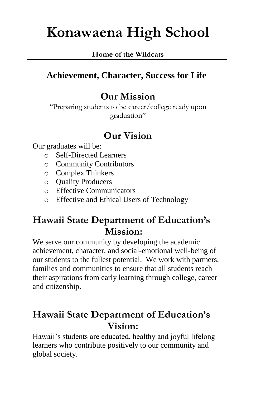# **Konawaena High School**

#### **Home of the Wildcats**

# **Achievement, Character, Success for Life**

# **Our Mission**

"Preparing students to be career/college ready upon graduation"

# **Our Vision**

Our graduates will be:

- o Self-Directed Learners
- o Community Contributors
- o Complex Thinkers
- o Quality Producers
- o Effective Communicators
- o Effective and Ethical Users of Technology

# **Hawaii State Department of Education's Mission:**

We serve our community by developing the academic achievement, character, and social-emotional well-being of our students to the fullest potential. We work with partners, families and communities to ensure that all students reach their aspirations from early learning through college, career and citizenship.

# **Hawaii State Department of Education's Vision:**

Hawaii's students are educated, healthy and joyful lifelong learners who contribute positively to our community and global society.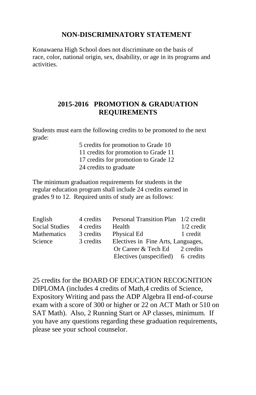#### **NON-DISCRIMINATORY STATEMENT**

Konawaena High School does not discriminate on the basis of race, color, national origin, sex, disability, or age in its programs and activities.

#### **2015-2016 PROMOTION & GRADUATION REQUIREMENTS**

Students must earn the following credits to be promoted to the next grade:

> 5 credits for promotion to Grade 10 11 credits for promotion to Grade 11 17 credits for promotion to Grade 12 24 credits to graduate

The minimum graduation requirements for students in the regular education program shall include 24 credits earned in grades 9 to 12. Required units of study are as follows:

| English            | 4 credits | Personal Transition Plan 1/2 credit |              |
|--------------------|-----------|-------------------------------------|--------------|
| Social Studies     | 4 credits | Health                              | $1/2$ credit |
| <b>Mathematics</b> | 3 credits | Physical Ed                         | 1 credit     |
| Science            | 3 credits | Electives in Fine Arts, Languages,  |              |
|                    |           | Or Career $&$ Tech Ed 2 credits     |              |
|                    |           | Electives (unspecified) 6 credits   |              |

25 credits for the BOARD OF EDUCATION RECOGNITION DIPLOMA (includes 4 credits of Math,4 credits of Science, Expository Writing and pass the ADP Algebra II end-of-course exam with a score of 300 or higher or 22 on ACT Math or 510 on SAT Math). Also, 2 Running Start or AP classes, minimum. If you have any questions regarding these graduation requirements, please see your school counselor.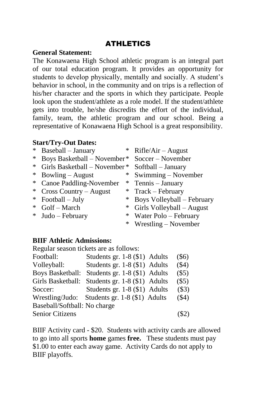#### ATHLETICS

#### **General Statement:**

The Konawaena High School athletic program is an integral part of our total education program. It provides an opportunity for students to develop physically, mentally and socially. A student's behavior in school, in the community and on trips is a reflection of his/her character and the sports in which they participate. People look upon the student/athlete as a role model. If the student/athlete gets into trouble, he/she discredits the effort of the individual, family, team, the athletic program and our school. Being a representative of Konawaena High School is a great responsibility.

#### **Start/Try-Out Dates:**

| $*$ | Baseball - January           | ∗      | $Rifle/Air - August$       |
|-----|------------------------------|--------|----------------------------|
| $*$ | Boys Basketball – November*  |        | Soccer – November          |
| $*$ | Girls Basketball - November* |        | Softball - January         |
| $*$ | $Bowling - August$           | *      | Swimming – November        |
|     | * Canoe Paddling-November    |        | $*$ Tennis – January       |
|     | * Cross Country – August     |        | $*$ Track – February       |
|     | $*$ Football – July          | *      | Boys Volleyball - February |
|     | * Golf - March               | $*$    | Girls Volleyball – August  |
|     | $*$ Judo – February          | $\ast$ | Water Polo - February      |
|     |                              | $*$    | $Wrestling - November$     |
|     |                              |        |                            |

#### **BIIF Athletic Admissions:**

Regular season tickets are as follows: Football: Students gr. 1-8 (\$1) Adults (\$6) Volleyball: Students gr. 1-8 (\$1) Adults (\$4) Boys Basketball: Students gr. 1-8 (\$1) Adults (\$5) Girls Basketball: Students gr. 1-8 (\$1) Adults (\$5) Soccer: Students gr. 1-8 (\$1) Adults (\$3) Wrestling/Judo: Students gr. 1-8 (\$1) Adults (\$4) Baseball/Softball: No charge Senior Citizens (\$2)

BIIF Activity card - \$20. Students with activity cards are allowed to go into all sports **home** games **free.** These students must pay \$1.00 to enter each away game. Activity Cards do not apply to BIIF playoffs.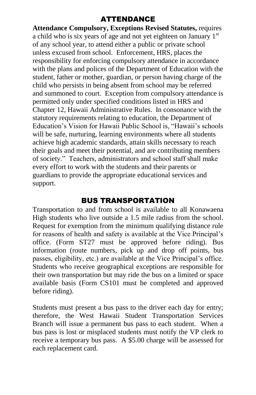#### ATTENDANCE

**Attendance Compulsory, Exceptions Revised Statutes,** requires a child who is six years of age and not yet eighteen on January  $1<sup>st</sup>$ of any school year, to attend either a public or private school unless excused from school. Enforcement, HRS, places the responsibility for enforcing compulsory attendance in accordance with the plans and polices of the Department of Education with the student, father or mother, guardian, or person having charge of the child who persists in being absent from school may be referred and summoned to court. Exception from compulsory attendance is permitted only under specified conditions listed in HRS and Chapter 12, Hawaii Administrative Rules. In consonance with the statutory requirements relating to education, the Department of Education's Vision for Hawaii Public School is, "Hawaii's schools will be safe, nurturing, learning environments where all students achieve high academic standards, attain skills necessary to reach their goals and meet their potential, and are contributing members of society." Teachers, administrators and school staff shall make every effort to work with the students and their parents or guardians to provide the appropriate educational services and support.

#### BUS TRANSPORTATION

Transportation to and from school is available to all Konawaena High students who live outside a 1.5 mile radius from the school. Request for exemption from the minimum qualifying distance rule for reasons of health and safety is available at the Vice Principal's office. (Form ST27 must be approved before riding). Bus information (route numbers, pick up and drop off points, bus passes, eligibility, etc.) are available at the Vice Principal's office. Students who receive geographical exceptions are responsible for their own transportation but may ride the bus on a limited or space available basis (Form CS101 must be completed and approved before riding).

Students must present a bus pass to the driver each day for entry; therefore, the West Hawaii Student Transportation Services Branch will issue a permanent bus pass to each student. When a bus pass is lost or misplaced students must notify the VP clerk to receive a temporary bus pass. A \$5.00 charge will be assessed for each replacement card.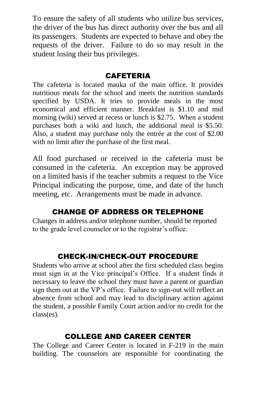To ensure the safety of all students who utilize bus services, the driver of the bus has direct authority over the bus and all its passengers. Students are expected to behave and obey the requests of the driver. Failure to do so may result in the student losing their bus privileges.

#### CAFETERIA

The cafeteria is located mauka of the main office. It provides nutritious meals for the school and meets the nutrition standards specified by USDA. It tries to provide meals in the most economical and efficient manner. Breakfast is \$1.10 and mid morning (wiki) served at recess or lunch is \$2.75. When a student purchases both a wiki and lunch, the additional meal is \$5.50. Also, a student may purchase only the entrée at the cost of \$2.00 with no limit after the purchase of the first meal.

All food purchased or received in the cafeteria must be consumed in the cafeteria. An exception may be approved on a limited basis if the teacher submits a request to the Vice Principal indicating the purpose, time, and date of the lunch meeting, etc. Arrangements must be made in advance.

#### CHANGE OF ADDRESS OR TELEPHONE

Changes in address and/or telephone number, should be reported to the grade level counselor or to the registrar's office.

#### CHECK-IN/CHECK-OUT PROCEDURE

Students who arrive at school after the first scheduled class begins must sign in at the Vice principal's Office. If a student finds it necessary to leave the school they must have a parent or guardian sign them out at the VP's office. Failure to sign-out will reflect an absence from school and may lead to disciplinary action against the student, a possible Family Court action and/or no credit for the class(es).

#### COLLEGE AND CAREER CENTER

The College and Career Center is located in F-219 in the main building. The counselors are responsible for coordinating the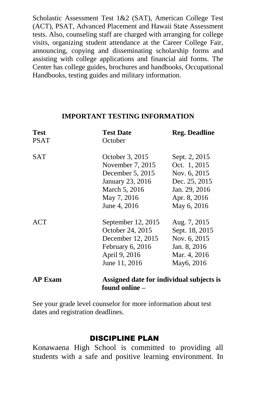Scholastic Assessment Test 1&2 (SAT), American College Test (ACT), PSAT, Advanced Placement and Hawaii State Assessment tests. Also, counseling staff are charged with arranging for college visits, organizing student attendance at the Career College Fair, announcing, copying and disseminating scholarship forms and assisting with college applications and financial aid forms. The Center has college guides, brochures and handbooks, Occupational Handbooks, testing guides and military information.

#### **IMPORTANT TESTING INFORMATION**

| <b>Test</b>    | <b>Test Date</b>                         | <b>Reg. Deadline</b> |
|----------------|------------------------------------------|----------------------|
| <b>PSAT</b>    | October                                  |                      |
| SAT            | October 3, 2015                          | Sept. 2, 2015        |
|                | November 7, 2015                         | Oct. 1, 2015         |
|                | December $5, 2015$                       | Nov. 6, 2015         |
|                | January 23, 2016                         | Dec. 25, 2015        |
|                | March 5, 2016                            | Jan. 29, 2016        |
|                | May 7, 2016                              | Apr. 8, 2016         |
|                | June 4, 2016                             | May 6, 2016          |
| <b>ACT</b>     | September 12, 2015                       | Aug. 7, 2015         |
|                | October 24, 2015                         | Sept. 18, 2015       |
|                | December 12, 2015                        | Nov. 6, 2015         |
|                | February 6, 2016                         | Jan. 8, 2016         |
|                | April 9, 2016                            | Mar. 4, 2016         |
|                | June 11, 2016                            | May6, 2016           |
| <b>AP Exam</b> | Assigned date for individual subjects is |                      |

See your grade level counselor for more information about test dates and registration deadlines.

 **found online –**

#### DISCIPLINE PLAN

Konawaena High School is committed to providing all students with a safe and positive learning environment. In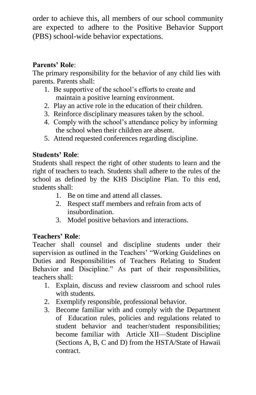order to achieve this, all members of our school community are expected to adhere to the Positive Behavior Support (PBS) school-wide behavior expectations.

#### **Parents' Role**:

The primary responsibility for the behavior of any child lies with parents. Parents shall:

- 1. Be supportive of the school's efforts to create and maintain a positive learning environment.
- 2. Play an active role in the education of their children.
- 3. Reinforce disciplinary measures taken by the school.
- 4. Comply with the school's attendance policy by informing the school when their children are absent.
- 5. Attend requested conferences regarding discipline.

#### **Students' Role**:

Students shall respect the right of other students to learn and the right of teachers to teach. Students shall adhere to the rules of the school as defined by the KHS Discipline Plan. To this end, students shall:

- 1. Be on time and attend all classes.
- 2. Respect staff members and refrain from acts of insubordination.
- 3. Model positive behaviors and interactions.

#### **Teachers' Role**:

Teacher shall counsel and discipline students under their supervision as outlined in the Teachers' "Working Guidelines on Duties and Responsibilities of Teachers Relating to Student Behavior and Discipline." As part of their responsibilities, teachers shall:

- 1. Explain, discuss and review classroom and school rules with students
- 2. Exemplify responsible, professional behavior.
- 3. Become familiar with and comply with the Department of Education rules, policies and regulations related to student behavior and teacher/student responsibilities; become familiar with Article XII—Student Discipline (Sections A, B, C and D) from the HSTA/State of Hawaii contract.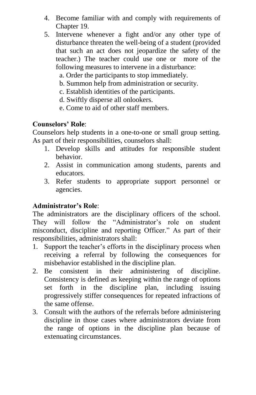- 4. Become familiar with and comply with requirements of Chapter 19.
- 5. Intervene whenever a fight and/or any other type of disturbance threaten the well-being of a student (provided that such an act does not jeopardize the safety of the teacher.) The teacher could use one or more of the following measures to intervene in a disturbance:
	- a. Order the participants to stop immediately.
	- b. Summon help from administration or security.
	- c. Establish identities of the participants.
	- d. Swiftly disperse all onlookers.
	- e. Come to aid of other staff members.

#### **Counselors' Role**:

Counselors help students in a one-to-one or small group setting. As part of their responsibilities, counselors shall:

- 1. Develop skills and attitudes for responsible student behavior.
- 2. Assist in communication among students, parents and educators.
- 3. Refer students to appropriate support personnel or agencies.

#### **Administrator's Role**:

The administrators are the disciplinary officers of the school. They will follow the "Administrator's role on student misconduct, discipline and reporting Officer." As part of their responsibilities, administrators shall:

- 1. Support the teacher's efforts in the disciplinary process when receiving a referral by following the consequences for misbehavior established in the discipline plan.
- 2. Be consistent in their administering of discipline. Consistency is defined as keeping within the range of options set forth in the discipline plan, including issuing progressively stiffer consequences for repeated infractions of the same offense.
- 3. Consult with the authors of the referrals before administering discipline in those cases where administrators deviate from the range of options in the discipline plan because of extenuating circumstances.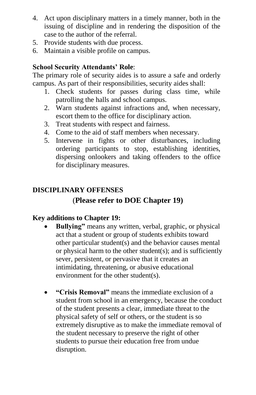- 4. Act upon disciplinary matters in a timely manner, both in the issuing of discipline and in rendering the disposition of the case to the author of the referral.
- 5. Provide students with due process.
- 6. Maintain a visible profile on campus.

#### **School Security Attendants' Role**:

The primary role of security aides is to assure a safe and orderly campus. As part of their responsibilities, security aides shall:

- 1. Check students for passes during class time, while patrolling the halls and school campus.
- 2. Warn students against infractions and, when necessary, escort them to the office for disciplinary action.
- 3. Treat students with respect and fairness.
- 4. Come to the aid of staff members when necessary.
- 5. Intervene in fights or other disturbances, including ordering participants to stop, establishing identities, dispersing onlookers and taking offenders to the office for disciplinary measures.

#### **DISCIPLINARY OFFENSES**

#### (**Please refer to DOE Chapter 19)**

#### **Key additions to Chapter 19:**

- **Bullying"** means any written, verbal, graphic, or physical act that a student or group of students exhibits toward other particular student(s) and the behavior causes mental or physical harm to the other student(s); and is sufficiently sever, persistent, or pervasive that it creates an intimidating, threatening, or abusive educational environment for the other student(s).
- **"Crisis Removal"** means the immediate exclusion of a student from school in an emergency, because the conduct of the student presents a clear, immediate threat to the physical safety of self or others, or the student is so extremely disruptive as to make the immediate removal of the student necessary to preserve the right of other students to pursue their education free from undue disruption.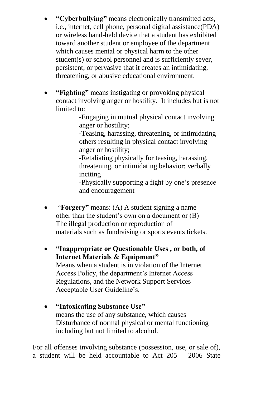- **"Cyberbullying"** means electronically transmitted acts, i.e., internet, cell phone, personal digital assistance(PDA) or wireless hand-held device that a student has exhibited toward another student or employee of the department which causes mental or physical harm to the other student(s) or school personnel and is sufficiently sever, persistent, or pervasive that it creates an intimidating, threatening, or abusive educational environment.
- **"Fighting"** means instigating or provoking physical contact involving anger or hostility. It includes but is not limited to:

-Engaging in mutual physical contact involving anger or hostility;

-Teasing, harassing, threatening, or intimidating others resulting in physical contact involving anger or hostility;

-Retaliating physically for teasing, harassing, threatening, or intimidating behavior; verbally inciting

-Physically supporting a fight by one's presence and encouragement

- "**Forgery"** means: (A) A student signing a name other than the student's own on a document or (B) The illegal production or reproduction of materials such as fundraising or sports events tickets.
- **"Inappropriate or Questionable Uses , or both, of Internet Materials & Equipment"** Means when a student is in violation of the Internet Access Policy, the department's Internet Access Regulations, and the Network Support Services Acceptable User Guideline's.
- **"Intoxicating Substance Use"**  means the use of any substance, which causes Disturbance of normal physical or mental functioning including but not limited to alcohol.

For all offenses involving substance (possession, use, or sale of), a student will be held accountable to Act 205 – 2006 State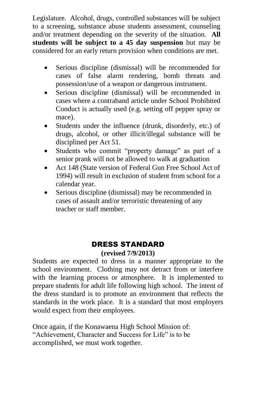Legislature. Alcohol, drugs, controlled substances will be subject to a screening, substance abuse students assessment, counseling and/or treatment depending on the severity of the situation. **All students will be subject to a 45 day suspension** but may be considered for an early return provision when conditions are met.

- Serious discipline (dismissal) will be recommended for cases of false alarm rendering, bomb threats and possession/use of a weapon or dangerous instrument.
- Serious discipline (dismissal) will be recommended in cases where a contraband article under School Prohibited Conduct is actually used (e.g. setting off pepper spray or mace).
- Students under the influence (drunk, disorderly, etc.) of drugs, alcohol, or other illicit/illegal substance will be disciplined per Act 51.
- Students who commit "property damage" as part of a senior prank will not be allowed to walk at graduation
- Act 148 (State version of Federal Gun Free School Act of 1994) will result in exclusion of student from school for a calendar year.
- Serious discipline (dismissal) may be recommended in cases of assault and/or terroristic threatening of any teacher or staff member.

#### DRESS STANDARD **(revised 7/9/2013)**

Students are expected to dress in a manner appropriate to the school environment. Clothing may not detract from or interfere with the learning process or atmosphere. It is implemented to prepare students for adult life following high school. The intent of the dress standard is to promote an environment that reflects the standards in the work place. It is a standard that most employers would expect from their employees.

Once again, if the Konawaena High School Mission of: "Achievement, Character and Success for Life" is to be accomplished, we must work together.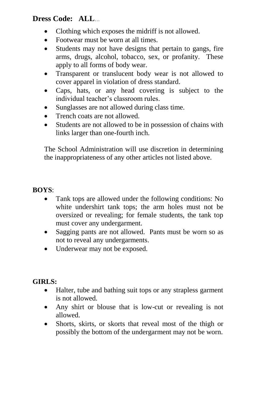#### **Dress Code: ALL**…

- Clothing which exposes the midriff is not allowed.
- Footwear must be worn at all times.
- Students may not have designs that pertain to gangs, fire arms, drugs, alcohol, tobacco, sex, or profanity. These apply to all forms of body wear.
- Transparent or translucent body wear is not allowed to cover apparel in violation of dress standard.
- Caps, hats, or any head covering is subject to the individual teacher's classroom rules.
- Sunglasses are not allowed during class time.
- Trench coats are not allowed.
- Students are not allowed to be in possession of chains with links larger than one-fourth inch.

The School Administration will use discretion in determining the inappropriateness of any other articles not listed above.

#### **BOYS**:

- Tank tops are allowed under the following conditions: No white undershirt tank tops; the arm holes must not be oversized or revealing; for female students, the tank top must cover any undergarment.
- Sagging pants are not allowed. Pants must be worn so as not to reveal any undergarments.
- Underwear may not be exposed.

#### **GIRLS:**

- Halter, tube and bathing suit tops or any strapless garment is not allowed.
- Any shirt or blouse that is low-cut or revealing is not allowed.
- Shorts, skirts, or skorts that reveal most of the thigh or possibly the bottom of the undergarment may not be worn.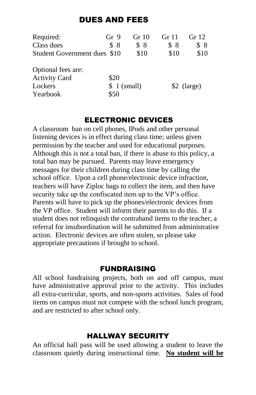#### DUES AND FEES

| Required:                    | Gr <sub>9</sub> | Gr 10       | Gr 11 | Gr 12        |
|------------------------------|-----------------|-------------|-------|--------------|
| Class dues                   | \$8             | \$8         | \$8   | \$8          |
| Student Government dues \$10 |                 | \$10        | \$10  | \$10         |
| Optional fees are:           |                 |             |       |              |
| <b>Activity Card</b>         | \$20            |             |       |              |
| Lockers                      |                 | \$1 (small) |       | $$2$ (large) |
| Yearbook                     | \$50            |             |       |              |

#### ELECTRONIC DEVICES

A classroom ban on cell phones, IPods and other personal listening devices is in effect during class time; unless given permission by the teacher and used for educational purposes. Although this is not a total ban, if there is abuse to this policy, a total ban may be pursued. Parents may leave emergency messages for their children during class time by calling the school office. Upon a cell phone/electronic device infraction, teachers will have Ziploc bags to collect the item, and then have security take up the confiscated item up to the VP's office. Parents will have to pick up the phones/electronic devices from the VP office. Student will inform their parents to do this. If a student does not relinquish the contraband items to the teacher, a referral for insubordination will be submitted from administrative action. Electronic devices are often stolen, so please take appropriate precautions if brought to school.

#### FUNDRAISING

All school fundraising projects, both on and off campus, must have administrative approval prior to the activity. This includes all extra-curricular, sports, and non-sports activities. Sales of food items on campus must not compete with the school lunch program, and are restricted to after school only.

#### HALLWAY SECURITY

An official hall pass will be used allowing a student to leave the classroom quietly during instructional time. **No student will be**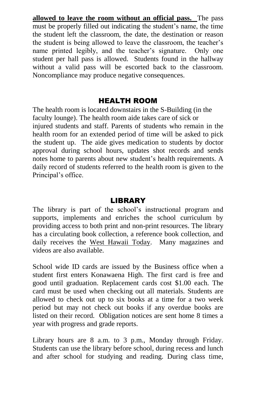**allowed to leave the room without an official pass.** The pass must be properly filled out indicating the student's name, the time the student left the classroom, the date, the destination or reason the student is being allowed to leave the classroom, the teacher's name printed legibly, and the teacher's signature. Only one student per hall pass is allowed. Students found in the hallway without a valid pass will be escorted back to the classroom. Noncompliance may produce negative consequences.

#### HEALTH ROOM

The health room is located downstairs in the S-Building (in the faculty lounge). The health room aide takes care of sick or injured students and staff. Parents of students who remain in the health room for an extended period of time will be asked to pick the student up. The aide gives medication to students by doctor approval during school hours, updates shot records and sends notes home to parents about new student's health requirements. A daily record of students referred to the health room is given to the Principal's office.

#### **LIBRARY**

The library is part of the school's instructional program and supports, implements and enriches the school curriculum by providing access to both print and non-print resources. The library has a circulating book collection, a reference book collection, and daily receives the West Hawaii Today. Many magazines and videos are also available.

School wide ID cards are issued by the Business office when a student first enters Konawaena High. The first card is free and good until graduation. Replacement cards cost \$1.00 each. The card must be used when checking out all materials. Students are allowed to check out up to six books at a time for a two week period but may not check out books if any overdue books are listed on their record. Obligation notices are sent home 8 times a year with progress and grade reports.

Library hours are 8 a.m. to 3 p.m., Monday through Friday. Students can use the library before school, during recess and lunch and after school for studying and reading. During class time,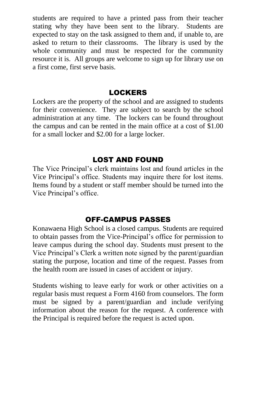students are required to have a printed pass from their teacher stating why they have been sent to the library. Students are expected to stay on the task assigned to them and, if unable to, are asked to return to their classrooms. The library is used by the whole community and must be respected for the community resource it is. All groups are welcome to sign up for library use on a first come, first serve basis.

#### **LOCKERS**

Lockers are the property of the school and are assigned to students for their convenience. They are subject to search by the school administration at any time. The lockers can be found throughout the campus and can be rented in the main office at a cost of \$1.00 for a small locker and \$2.00 for a large locker.

#### LOST AND FOUND

The Vice Principal's clerk maintains lost and found articles in the Vice Principal's office. Students may inquire there for lost items. Items found by a student or staff member should be turned into the Vice Principal's office.

#### OFF-CAMPUS PASSES

Konawaena High School is a closed campus. Students are required to obtain passes from the Vice-Principal's office for permission to leave campus during the school day. Students must present to the Vice Principal's Clerk a written note signed by the parent/guardian stating the purpose, location and time of the request. Passes from the health room are issued in cases of accident or injury.

Students wishing to leave early for work or other activities on a regular basis must request a Form 4160 from counselors. The form must be signed by a parent/guardian and include verifying information about the reason for the request. A conference with the Principal is required before the request is acted upon.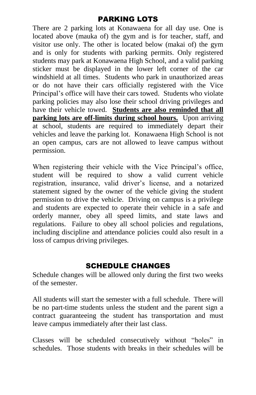#### PARKING LOTS

There are 2 parking lots at Konawaena for all day use. One is located above (mauka of) the gym and is for teacher, staff, and visitor use only. The other is located below (makai of) the gym and is only for students with parking permits. Only registered students may park at Konawaena High School, and a valid parking sticker must be displayed in the lower left corner of the car windshield at all times. Students who park in unauthorized areas or do not have their cars officially registered with the Vice Principal's office will have their cars towed. Students who violate parking policies may also lose their school driving privileges and have their vehicle towed. **Students are also reminded that all parking lots are off-limits during school hours.** Upon arriving at school, students are required to immediately depart their vehicles and leave the parking lot. Konawaena High School is not an open campus, cars are not allowed to leave campus without permission.

When registering their vehicle with the Vice Principal's office, student will be required to show a valid current vehicle registration, insurance, valid driver's license, and a notarized statement signed by the owner of the vehicle giving the student permission to drive the vehicle. Driving on campus is a privilege and students are expected to operate their vehicle in a safe and orderly manner, obey all speed limits, and state laws and regulations. Failure to obey all school policies and regulations, including discipline and attendance policies could also result in a loss of campus driving privileges.

#### SCHEDULE CHANGES

Schedule changes will be allowed only during the first two weeks of the semester.

All students will start the semester with a full schedule. There will be no part-time students unless the student and the parent sign a contract guaranteeing the student has transportation and must leave campus immediately after their last class.

Classes will be scheduled consecutively without "holes" in schedules. Those students with breaks in their schedules will be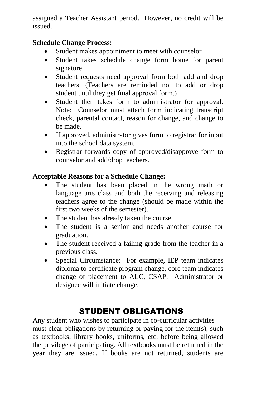assigned a Teacher Assistant period. However, no credit will be issued.

#### **Schedule Change Process:**

- Student makes appointment to meet with counselor
- Student takes schedule change form home for parent signature.
- Student requests need approval from both add and drop teachers. (Teachers are reminded not to add or drop student until they get final approval form.)
- Student then takes form to administrator for approval. Note: Counselor must attach form indicating transcript check, parental contact, reason for change, and change to be made.
- If approved, administrator gives form to registrar for input into the school data system.
- Registrar forwards copy of approved/disapprove form to counselor and add/drop teachers.

#### **Acceptable Reasons for a Schedule Change:**

- The student has been placed in the wrong math or language arts class and both the receiving and releasing teachers agree to the change (should be made within the first two weeks of the semester).
- The student has already taken the course.
- The student is a senior and needs another course for graduation.
- The student received a failing grade from the teacher in a previous class.
- Special Circumstance: For example, IEP team indicates diploma to certificate program change, core team indicates change of placement to ALC, CSAP. Administrator or designee will initiate change.

## STUDENT OBLIGATIONS

Any student who wishes to participate in co-curricular activities must clear obligations by returning or paying for the item(s), such as textbooks, library books, uniforms, etc. before being allowed the privilege of participating. All textbooks must be returned in the year they are issued. If books are not returned, students are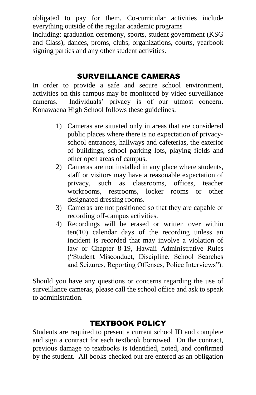obligated to pay for them. Co-curricular activities include everything outside of the regular academic programs including: graduation ceremony, sports, student government (KSG and Class), dances, proms, clubs, organizations, courts, yearbook signing parties and any other student activities.

#### SURVEILLANCE CAMERAS

In order to provide a safe and secure school environment, activities on this campus may be monitored by video surveillance cameras. Individuals' privacy is of our utmost concern. Konawaena High School follows these guidelines:

- 1) Cameras are situated only in areas that are considered public places where there is no expectation of privacyschool entrances, hallways and cafeterias, the exterior of buildings, school parking lots, playing fields and other open areas of campus.
- 2) Cameras are not installed in any place where students, staff or visitors may have a reasonable expectation of privacy, such as classrooms, offices, teacher workrooms, restrooms, locker rooms or other designated dressing rooms.
- 3) Cameras are not positioned so that they are capable of recording off-campus activities.
- 4) Recordings will be erased or written over within ten(10) calendar days of the recording unless an incident is recorded that may involve a violation of law or Chapter 8-19, Hawaii Administrative Rules ("Student Misconduct, Discipline, School Searches and Seizures, Reporting Offenses, Police Interviews").

Should you have any questions or concerns regarding the use of surveillance cameras, please call the school office and ask to speak to administration.

#### TEXTBOOK POLICY

Students are required to present a current school ID and complete and sign a contract for each textbook borrowed. On the contract, previous damage to textbooks is identified, noted, and confirmed by the student. All books checked out are entered as an obligation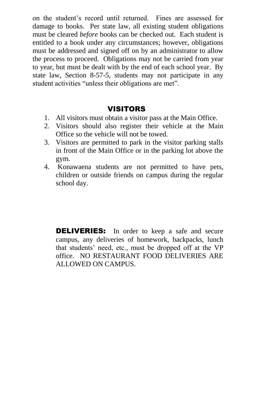on the student's record until returned. Fines are assessed for damage to books. Per state law, all existing student obligations must be cleared *before* books can be checked out. Each student is entitled to a book under any circumstances; however, obligations must be addressed and signed off on by an administrator to allow the process to proceed. Obligations may not be carried from year to year, but must be dealt with by the end of each school year. By state law, Section 8-57-5, students may not participate in any student activities "unless their obligations are met".

#### **VISITORS**

- 1. All visitors must obtain a visitor pass at the Main Office.
- 2. Visitors should also register their vehicle at the Main Office so the vehicle will not be towed.
- 3. Visitors are permitted to park in the visitor parking stalls in front of the Main Office or in the parking lot above the gym.
- 4. Konawaena students are not permitted to have pets, children or outside friends on campus during the regular school day.

**DELIVERIES:** In order to keep a safe and secure campus, any deliveries of homework, backpacks, lunch that students' need, etc., must be dropped off at the VP office. NO RESTAURANT FOOD DELIVERIES ARE ALLOWED ON CAMPUS.